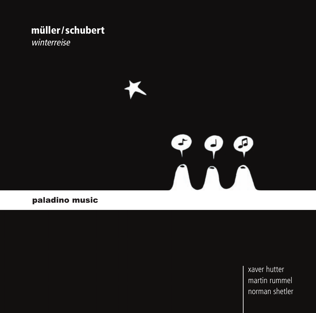# müller/schubert

winterreise

# $\mathcal{L}$ J)

# paladino music

xaver hutter martin rummel norman shetler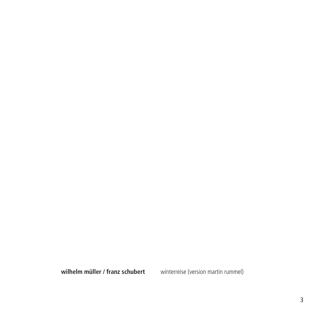wilhelm müller / franz schubert winterreise (version martin rummel)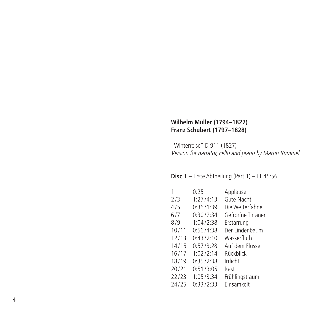#### **Wilhelm Müller (1794–1827) Franz Schubert (1797–1828)**

"Winterreise" D 911 (1827) Version for narrator, cello and piano by Martin Rummel

#### **Disc 1** – Erste Abtheilung (Part 1) – TT 45:56

|       | 0:25      | Applause          |
|-------|-----------|-------------------|
| 2/3   | 1:27/4:13 | Gute Nacht        |
| 4/5   | 0:36/1:39 | Die Wetterfahne   |
| 6/7   | 0:30/2:34 | Gefror'ne Thränen |
| 8/9   | 1:04/2:38 | Erstarrung        |
| 10/11 | 0:56/4:38 | Der Lindenbaum    |
| 12/13 | 0:43/2:10 | Wasserfluth       |
| 14/15 | 0:57/3:28 | Auf dem Flusse    |
| 16/17 | 1:02/2:14 | Rückblick         |
| 18/19 | 0:35/2:38 | Irrlicht          |
| 20/21 | 0:51/3:05 | Rast              |
| 22/23 | 1:05/3:34 | Frühlingstraum    |
| 24/25 | 0:33/2:33 | <b>Finsamkeit</b> |
|       |           |                   |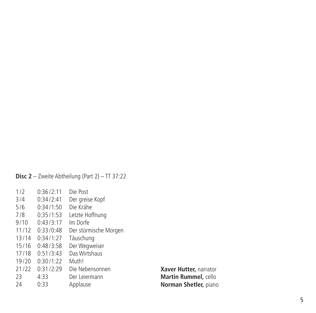## **Disc 2** – Zweite Abtheilung (Part 2) – TT 37:22

| 0:36/2:11 | Die Post              |
|-----------|-----------------------|
| 0:34/2:41 | Der greise Kopf       |
| 0:34/1:50 | Die Krähe             |
| 0:35/1:53 | Letzte Hoffnung       |
| 0:43/3:17 | Im Dorfe              |
| 0:33/0:48 | Der stürmische Morgen |
| 0:34/1:27 | Täuschung             |
| 0:48/3:58 | Der Wegweiser         |
| 0:51/3:43 | Das Wirtshaus         |
| 0:30/1:22 | Muth!                 |
| 0:31/2:29 | Die Nebensonnen       |
| 4:33      | Der Leiermann         |
| 0:33      | Applause              |
|           |                       |

**Xaver Hutter,** narrator **Martin Rummel,** cello **Norman Shetler,** piano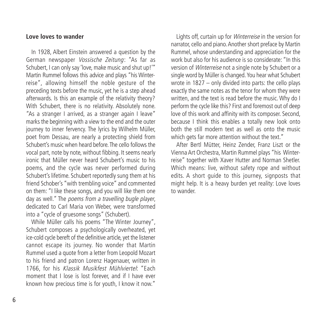#### **Love loves to wander**

In 1928, Albert Einstein answered a question by the German newspaper Vossische Zeitung: "As far as Schubert, I can only say 'love, make music and shut up!'" Martin Rummel follows this advice and plays "his Winterreise", allowing himself the noble gesture of the preceding texts before the music, yet he is a step ahead afterwards. Is this an example of the relativity theory? With Schubert, there is no relativity. Absolutely none. "As a stranger I arrived, as a stranger again I leave" marks the beginning with a view to the end and the outer journey to inner fervency. The lyrics by Wilhelm Müller, poet from Dessau, are nearly a protecting shield from Schubert's music when heard before. The cello follows the vocal part, note by note, without fibbing. It seems nearly ironic that Müller never heard Schubert's music to his poems, and the cycle was never performed during Schubert's lifetime. Schubert reportedly sung them at his friend Schober's "with trembling voice" and commented on them: "I like these songs, and you will like them one day as well." The poems from a travelling bugle player, dedicated to Carl Maria von Weber, were transformed into a "cycle of gruesome songs" (Schubert).

While Müller calls his poems "The Winter Journey", Schubert composes a psychologically overheated, yet ice-cold cycle bereft of the definitive article, yet the listener cannot escape its journey. No wonder that Martin Rummel used a quote from a letter from Leopold Mozart to his friend and patron Lorenz Hagenauer, written in 1766, for his Klassik Musikfest Mühlviertel: "Each moment that I lose is lost forever, and if I have ever known how precious time is for youth, I know it now."

Lights off, curtain up for Winterreise in the version for narrator, cello and piano. Another short preface by Martin Rummel, whose understanding and appreciation for the work but also for his audience is so considerate: "In this version of Winterreise not a single note by Schubert or a single word by Müller is changed. You hear what Schubert wrote in 1827 – only divided into parts: the cello plays exactly the same notes as the tenor for whom they were written, and the text is read before the music. Why do I perform the cycle like this? First and foremost out of deep love of this work and affinity with its composer. Second, because I think this enables a totally new look onto both the still modern text as well as onto the music which gets far more attention without the text."

After Bertl Mütter, Heinz Zender, Franz Liszt or the Vienna Art Orchestra, Martin Rummel plays "his Winterreise" together with Xaver Hutter and Norman Shetler. Which means: live, without safety rope and without edits. A short quide to this journey, signposts that might help. It is a heavy burden yet reality: Love loves to wander.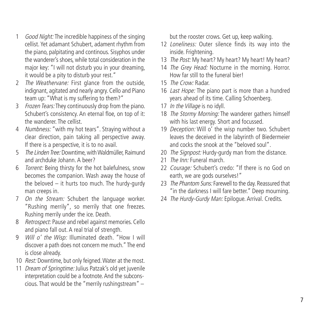- 1 Good Night: The incredible happiness of the singing cellist. Yet adamant Schubert, adament rhythm from the piano, palpitating and continous. Sisyphos under the wanderer's shoes, while total consideration in the major key: "I will not disturb you in your dreaming, it would be a pity to disturb your rest."
- 2 The Weathervane: First glance from the outside. indignant, agitated and nearly angry. Cello and Piano team up: "What is my suffering to them?"
- 3 Frozen Tears: They continuously drop from the piano. Schubert's consistency. An eternal floe, on top of it: the wanderer. The cellist.
- 4 Numbness: "with my hot tears". Straying without a clear direction, pain taking all perspective away. If there is a perspective, it is to no avail.
- 5 The Linden Tree: Downtime, with Waldmüller, Raimund and archduke Johann. A beer?
- 6 Torrent: Being thirsty for the hot balefulness, snow becomes the companion. Wash away the house of the beloved – it hurts too much. The hurdy-gurdy man creeps in.
- On the Stream: Schubert the language worker. "Rushing merrily", so merrily that one freezes. Rushing merrily under the ice. Death.
- 8 Retrospect: Pause and rebel against memories. Cello and piano fall out. A real trial of strength.
- 9 Will o' the Wisp: Illuminated death. "How I will discover a path does not concern me much." The end is close already.
- 10 Rest: Downtime, but only feigned. Water at the most.
- 11 Dream of Springtime: Julius Patzak's old vet juvenile interpretation could be a footnote. And the subconscious. That would be the "merrily rushingstream" –

but the rooster crows. Get up, keep walking.

- 12 Loneliness: Outer silence finds its way into the inside. Frightening.
- 13 The Post: My heart? My heart? My heart! My heart?
- 14 The Grey Head: Nocturne in the morning. Horror. How far still to the funeral bier!
- 15 The Crow: Radar.
- 16 Last Hope: The piano part is more than a hundred years ahead of its time. Calling Schoenberg.
- 17 In the Village is no idyll.
- 18 The Stormy Morning: The wanderer gathers himself with his last energy. Short and focussed.
- 19 Deception: Will o' the wisp number two. Schubert leaves the deceived in the labyrinth of Biedermeier and cocks the snook at the "beloved soul".
- 20 The Sianpost: Hurdy-gurdy man from the distance.
- 21 The Inn: Funeral march.
- 22 Courage: Schubert's credo: "If there is no God on earth, we are gods ourselves!"
- 23 The Phantom Suns: Farewell to the day. Reassured that "in the darkness I will fare better." Deep mourning.
- 24 The Hurdy-Gurdy Man: Epiloque. Arrival. Credits.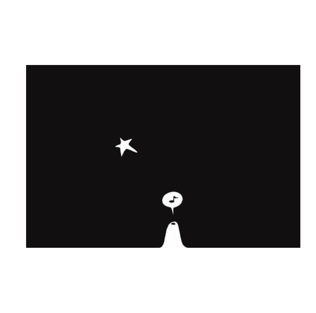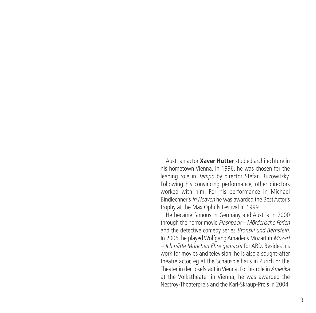Austrian actor **Xaver Hutter** studied architechture in his hometown Vienna. In 1996, he was chosen for the leading role in Tempo by director Stefan Ruzowitzky. Following his convincing performance, other directors worked with him. For his performance in Michael Bindlechner's In Heaven he was awarded the Best Actor's trophy at the Max Ophüls Festival in 1999.

He became famous in Germany and Austria in 2000 through the horror movie Flashback – Mörderische Ferien and the detective comedy series Bronski und Bernstein. In 2006, he played Wolfgang Amadeus Mozart in Mozart – Ich hätte München Ehre gemacht for ARD. Besides his work for movies and television, he is also a sought-after theatre actor, eg at the Schauspielhaus in Zurich or the Theater in der Josefstadt in Vienna. For his role in Amerika at the Volkstheater in Vienna, he was awarded the Nestroy-Theaterpreis and the Karl-Skraup-Preis in 2004.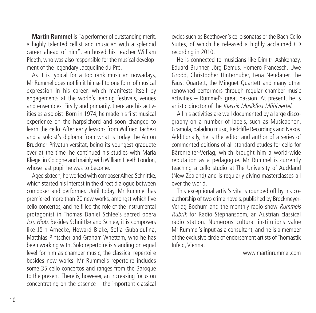**Martin Rummel** is "a performer of outstanding merit, a highly talented cellist and musician with a splendid career ahead of him", enthused his teacher William Pleeth, who was also responsible for the musical development of the legendary Jacqueline du Pré.

As it is typical for a top rank musician nowadays, Mr Rummel does not limit himself to one form of musical expression in his career, which manifests itself by engagements at the world's leading festivals, venues and ensembles. Firstly and primarily, there are his activities as a soloist: Born in 1974, he made his first musical experience on the harpsichord and soon changed to learn the cello. After early lessons from Wilfried Tachezi and a soloist's diploma from what is today the Anton Bruckner Privatuniversität, being its youngest graduate ever at the time, he continued his studies with Maria Kliegel in Cologne and mainly with William Pleeth London, whose last pupil he was to become.

Aged sixteen, he worked with composer Alfred Schnittke, which started his interest in the direct dialogue between composer and performer. Until today, Mr Rummel has premiered more than 20 new works, amongst which five cello concertos, and he filled the role of the instrumental protagonist in Thomas Daniel Schlee's sacred opera Ich, Hiob. Besides Schnittke and Schlee, it is composers like Jörn Arnecke, Howard Blake, Sofia Gubaidulina, Matthias Pintscher and Graham Whettam, who he has been working with. Solo repertoire is standing on equal level for him as chamber music, the classical repertoire besides new works: Mr Rummel's repertoire includes some 35 cello concertos and ranges from the Baroque to the present. There is, however, an increasing focus on concentrating on the essence – the important classical cycles such as Beethoven's cello sonatas or the Bach Cello Suites, of which he released a highly acclaimed CD recording in 2010.

He is connected to musicians like Dimitri Ashkenazy, Eduard Brunner, Jörg Demus, Homero Francesch, Uwe Grodd, Christopher Hinterhuber, Lena Neudauer, the Faust Quartett, the Minguet Quartett and many other renowned performers through regular chamber music activities – Rummel's great passion. At present, he is artistic director of the Klassik Musikfest Mühlviertel.

All his activities are well documented by a large discography on a number of labels, such as Musicaphon, Gramola, paladino music, Redcliffe Recordings and Naxos. Additionally, he is the editor and author of a series of commented editions of all standard etudes for cello for Bärenreiter-Verlag, which brought him a world-wide reputation as a pedagogue. Mr Rummel is currently teaching a cello studio at The University of Auckland (New Zealand) and is regularly giving masterclasses all over the world.

This exceptional artist's vita is rounded off by his coauthorship of two crime novels, published by Brockmeyer-Verlag Bochum and the monthly radio show Rummels Rubrik for Radio Stephansdom, an Austrian classical radio station. Numerous cultural institutions value Mr Rummel's input as a consultant, and he is a member of the exclusive circle of endorsement artists of Thomastik Infeld, Vienna.

www.martinrummel.com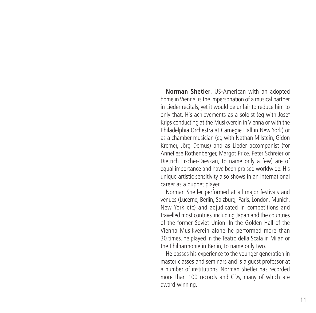**Norman Shetler**, US-American with an adopted home in Vienna, is the impersonation of a musical partner in Lieder recitals, yet it would be unfair to reduce him to only that. His achievements as a soloist (eg with Josef Krips conducting at the Musikverein in Vienna or with the Philadelphia Orchestra at Carnegie Hall in New York) or as a chamber musician (eg with Nathan Milstein, Gidon Kremer, Jörg Demus) and as Lieder accompanist (for Anneliese Rothenberger, Margot Price, Peter Schreier or Dietrich Fischer-Dieskau, to name only a few) are of equal importance and have been praised worldwide. His unique artistic sensitivity also shows in an international career as a puppet player.

Norman Shetler performed at all major festivals and venues (Lucerne, Berlin, Salzburg, Paris, London, Munich, New York etc) and adjudicated in competitions and travelled most contries, including Japan and the countries of the former Soviet Union. In the Golden Hall of the Vienna Musikverein alone he performed more than 30 times, he played in the Teatro della Scala in Milan or the Philharmonie in Berlin, to name only two.

He passes his experience to the younger generation in master classes and seminars and is a guest professor at a number of institutions. Norman Shetler has recorded more than 100 records and CDs, many of which are award-winning.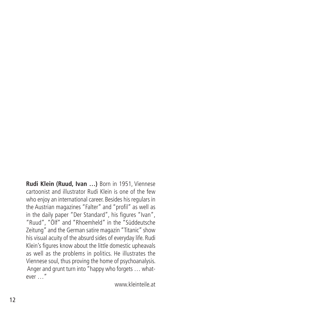**Rudi Klein (Ruud, Ivan …)** Born in 1951, Viennese cartoonist and illustrator Rudi Klein is one of the few who enjoy an international career. Besides his regulars in the Austrian magazines "Falter" and "profil" as well as in the daily paper "Der Standard", his figures "Ivan", "Ruud", "Ölf" and "Rhoemheld" in the "Süddeutsche Zeitung" and the German satire magazin "Titanic" show his visual acuity of the absurd sides of everyday life. Rudi Klein's figures know about the little domestic upheavals as well as the problems in politics. He illustrates the Viennese soul, thus proving the home of psychoanalysis. Anger and grunt turn into "happy who forgets … whatever …"

www.kleinteile.at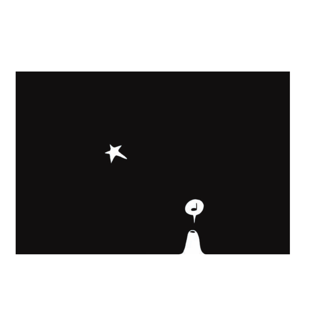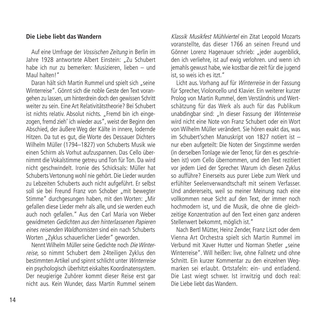#### **Die Liebe liebt das Wandern**

Auf eine Umfrage der Vossischen Zeitung in Berlin im Jahre 1928 antwortete Albert Einstein: "Zu Schubert habe ich nur zu bemerken: Musizieren, lieben – und Maul halten!"

Daran hält sich Martin Rummel und spielt sich "seine Winterreise". Gönnt sich die noble Geste den Text vorangehen zu lassen, um hinterdrein doch den gewissen Schritt weiter zu sein. Eine Art Relativitätstheorie? Bei Schubert ist nichts relativ. Absolut nichts. Fremd bin ich eingezogen, fremd zieh' ich wieder aus", weist der Beginn den Abschied, der äußere Weg der Kälte in innere, lodernde Hitzen. Da tut es gut, die Worte des Dessauer Dichters Wilhelm Müller (1794–1827) von Schuberts Musik wie einen Schirm als Vorhut aufzuspannen. Das Cello übernimmt die Vokalstimme getreu und Ton für Ton. Da wird nicht geschwindelt. Ironie des Schicksals: Müller hat Schuberts Vertonung wohl nie gehört. Die Lieder wurden zu Lebzeiten Schuberts auch nicht aufgeführt. Er selbst soll sie bei Freund Franz von Schober "mit bewegter Stimme" durchgesungen haben, mit den Worten: "Mir gefallen diese Lieder mehr als alle, und sie werden euch auch noch gefallen." Aus den Carl Maria von Weber gewidmeten Gedichten aus den hinterlassenen Papieren eines reisenden Waldhornisten sind ein nach Schuberts Worten "Zyklus schauerlicher Lieder" geworden.

Nennt Wilhelm Müller seine Gedichte noch Die Winterreise, so nimmt Schubert dem 24teiligen Zyklus den bestimmten Artikel und spinnt schlicht unter Winterreise ein psychologisch überhitzt eiskaltes Koordinatensystem. Der neugierige Zuhörer kommt dieser Reise erst gar nicht aus. Kein Wunder, dass Martin Rummel seinem

Klassik Musikfest Mühlviertel ein Zitat Leopold Mozarts voranstellte, das dieser 1766 an seinen Freund und Gönner Lorenz Hagenauer schrieb: "jeder augenblick, den ich verliehre, ist auf ewig verlohren. und wenn ich jemahls gewust habe, wie kostbar die zeit für die jugend ist, so weis ich es itzt."

Licht aus. Vorhang auf für Winterreise in der Fassung für Sprecher, Violoncello und Klavier. Ein weiterer kurzer Prolog von Martin Rummel, dem Verständnis und Wertschätzung für das Werk als auch für das Publikum unabdingbar sind: "In dieser Fassung der Winterreise wird nicht eine Note von Franz Schubert oder ein Wort von Wilhelm Müller verändert. Sie hören exakt das, was im Schubert'schen Manuskript von 1827 notiert ist – nur eben aufgeteilt: Die Noten der Singstimme werden (in derselben Tonlage wie der Tenor, für den es geschrieben ist) vom Cello übernommen, und den Text rezitiert vor jedem Lied der Sprecher. Warum ich diesen Zyklus so aufführe? Einerseits aus purer Liebe zum Werk und erfühlter Seelenverwandtschaft mit seinem Verfasser. Und andererseits, weil so meiner Meinung nach eine vollkommen neue Sicht auf den Text, der immer noch hochmodern ist, und die Musik, die ohne die gleichzeitige Konzentration auf den Text einen ganz anderen Stellenwert bekommt, möglich ist."

Nach Bertl Mütter, Heinz Zender, Franz Liszt oder dem Vienna Art Orchestra spielt sich Martin Rummel im Verbund mit Xaver Hutter und Norman Shetler "seine Winterreise". Will heißen: live, ohne Fallnetz und ohne Schnitt. Ein kurzer Kommentar zu den einzelnen Wegmarken sei erlaubt. Ortstafeln: ein- und entladend. Die Last wiegt schwer. Ist irrwitzig und doch real: Die Liebe liebt das Wandern.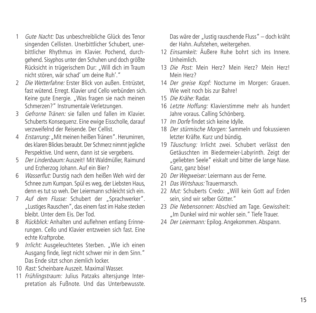- 1 Gute Nacht: Das unbeschreibliche Glück des Tenor singenden Cellisten. Unerbittlicher Schubert, unerbittlicher Rhythmus im Klavier. Pochend, durchgehend. Sisyphos unter den Schuhen und doch größte Rücksicht in trügerischem Dur: "Will dich im Traum nicht stören, wär schad' um deine Ruh'."
- 2 Die Wetterfahne: Erster Blick von außen. Entrüstet fast wütend. Erregt. Klavier und Cello verbünden sich. Keine gute Energie. "Was fragen sie nach meinen Schmerzen?" Instrumentale Verletzungen.
- 3 Gefrorne Tränen: sie fallen und fallen im Klavier. Schuberts Konsequenz. Eine ewige Eisscholle, darauf verzweifelnd der Reisende. Der Cellist.
- 4 Erstarrung: "Mit meinen heißen Tränen". Herumirren, des klaren Blickes beraubt. Der Schmerz nimmt jegliche Perspektive. Und wenn, dann ist sie vergebens.
- 5 Der Lindenbaum: Auszeit! Mit Waldmüller, Raimund und Erzherzog Johann. Auf ein Bier?
- 6 Wasserflut: Durstig nach dem heißen Weh wird der Schnee zum Kumpan. Spül es weg, der Liebsten Haus, denn es tut so weh. Der Leiermann schleicht sich ein.
- 7 Auf dem Flusse: Schubert der "Sprachwerker". "Lustiges Rauschen", das einem fast im Halse stecken bleibt. Unter dem Eis. Der Tod.
- 8 Rückblick: Anhalten und auflehnen entlang Erinnerungen. Cello und Klavier entzweien sich fast. Eine echte Kraftprobe.
- 9 Irrlicht: Ausgeleuchtetes Sterben. "Wie ich einen Ausgang finde, liegt nicht schwer mir in dem Sinn." Das Ende sitzt schon ziemlich locker.
- 10 Rast: Scheinbare Auszeit. Maximal Wasser.
- 11 Frühlingstraum: Julius Patzaks altersjunge Interpretation als Fußnote. Und das Unterbewusste.

Das wäre der "lustig rauschende Fluss" – doch kräht der Hahn. Aufstehen, weitergehen.

- 12 Einsamkeit: Äußere Ruhe bohrt sich ins Innere. Unheimlich.
- 13 Die Post: Mein Herz? Mein Herz? Mein Herz! Mein Herz?
- 14 Der greise Kopf: Nocturne im Morgen: Grauen. Wie weit noch bis zur Bahre!
- 15 Die Krähe: Radar.
- 16 Letzte Hoffung: Klavierstimme mehr als hundert Jahre voraus. Calling Schönberg.
- 17 Im Dorfe findet sich keine Idylle.
- 18 Der stürmische Morgen: Sammeln und fokussieren letzter Kräfte. Kurz und bündig.
- 19 Täuschung: Irrlicht zwei. Schubert verlässt den Getäuschten im Biedermeier-Labyrinth. Zeigt der "geliebten Seele" eiskalt und bitter die lange Nase. Ganz, ganz böse!
- 20 Der Wegweiser: Leiermann aus der Ferne.
- 21 Das Wirtshaus: Trauermarsch.
- 22 Mut: Schuberts Credo: "Will kein Gott auf Erden sein, sind wir selber Götter."
- 23 Die Nebensonnen: Abschied am Tage. Gewissheit: "Im Dunkel wird mir wohler sein." Tiefe Trauer.
- 24 Der Leiermann: Epilog. Angekommen. Abspann.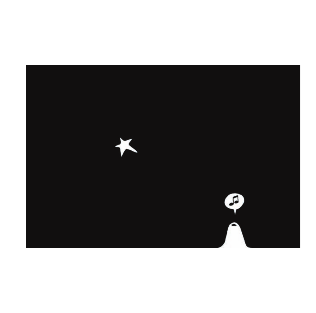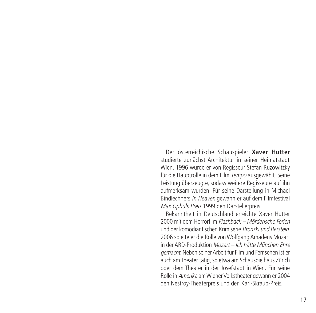Der österreichische Schauspieler **Xaver Hutter** studierte zunächst Architektur in seiner Heimatstadt Wien. 1996 wurde er von Regisseur Stefan Ruzowitzky für die Hauptrolle in dem Film Tempo ausgewählt. Seine Leistung überzeugte, sodass weitere Regisseure auf ihn aufmerksam wurden. Für seine Darstellung in Michael Bindlechners In Heaven gewann er auf dem Filmfestival Max Ophüls Preis 1999 den Darstellerpreis.

Bekanntheit in Deutschland erreichte Xaver Hutter 2000 mit dem Horrorfilm Flashback – Mörderische Ferien und der komödiantischen Krimiserie Bronski und Berstein. 2006 spielte er die Rolle von Wolfgang Amadeus Mozart in der ARD-Produktion Mozart – Ich hätte München Ehre gemacht. Neben seiner Arbeit für Film und Fernsehen ist er auch am Theater tätig, so etwa am Schauspielhaus Zürich oder dem Theater in der Josefstadt in Wien. Für seine Rolle in Amerika am Wiener Volkstheater gewann er 2004 den Nestroy-Theaterpreis und den Karl-Skraup-Preis.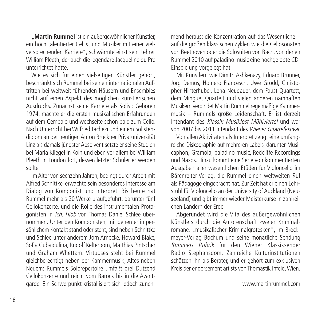"**Martin Rummel** ist ein außergewöhnlicher Künstler, ein hoch talentierter Cellist und Musiker mit einer vielversprechenden Karriere", schwärmte einst sein Lehrer William Pleeth, der auch die legendare Jacqueline du Pre unterrichtet hatte.

Wie es sich für einen vielseitigen Künstler gehört, beschränkt sich Rummel bei seinen internationalen Auftritten bei weltweit führenden Häusern und Ensembles nicht auf einen Aspekt des möglichen künstlerischen Ausdrucks. Zunachst seine Karriere als Solist: Geboren 1974, machte er die ersten musikalischen Erfahrungen auf dem Cembalo und wechselte schon bald zum Cello. Nach Unterricht bei Wilfried Tachezi und einem Solistendiplom an der heutigen Anton Bruckner Privatuniversität Linz als damals jüngster Absolvent setzte er seine Studien bei Maria Kliegel in Koln und eben vor allem bei William Pleeth in London fort, dessen letzter Schüler er werden sollte.

Im Alter von sechzehn Jahren, bedingt durch Arbeit mit Alfred Schnittke, erwachte sein besonderes Interesse am Dialog von Komponist und Interpret. Bis heute hat Rummel mehr als 20 Werke uraufgeführt, darunter fünf Cellokonzerte, und die Rolle des instrumentalen Protagonisten in *Ich, Hiob* von Thomas Daniel Schlee übernommen. Unter den Komponisten, mit denen er in persönlichem Kontakt stand oder steht, sind neben Schnittke und Schlee unter anderem Jorn Arnecke, Howard Blake, Sofia Gubaidulina, Rudolf Kelterborn, Matthias Pintscher und Graham Whettam. Virtuoses steht bei Rummel gleichberechtigt neben der Kammermusik, Altes neben Neuem: Rummels Solorepertoire umfaßt drei Dutzend Cellokonzerte und reicht vom Barock bis in die Avantgarde. Ein Schwerpunkt kristallisiert sich jedoch zunehmend heraus: die Konzentration auf das Wesentliche – auf die großen klassischen Zyklen wie die Cellosonaten von Beethoven oder die Solosuiten von Bach, von denen Rummel 2010 auf paladino music eine hochgelobte CD-Einspielung vorgelegt hat.

Mit Künstlern wie Dimitri Ashkenazy, Eduard Brunner, Jorg Demus, Homero Francesch, Uwe Grodd, Christopher Hinterhuber, Lena Neudauer, dem Faust Quartett, dem Minguet Quartett und vielen anderen namhaften Musikern verbindet Martin Rummel regelmäßige Kammermusik – Rummels große Leidenschaft. Er ist derzeit Intendant des Klassik Musikfest Mühlviertel und war von 2007 bis 2011 Intendant des Wiener Gitarrefestival.

Von allen Aktivitäten als Interpret zeugt eine umfangreiche Diskographie auf mehreren Labels, darunter Musicaphon, Gramola, paladino music, Redcliffe Recordings und Naxos. Hinzu kommt eine Serie von kommentierten Ausgaben aller wesentlichen Etüden fur Violoncello im Bärenreiter-Verlag, die Rummel einen weltweiten Ruf als Pädagoge eingebracht hat. Zur Zeit hat er einen Lehrstuhl für Violoncello an der University of Auckland (Neuseeland) und gibt immer wieder Meisterkurse in zahlreichen Ländern der Erde.

Abgerundet wird die Vita des außergewöhnlichen Künstlers durch die Autorenschaft zweier Kriminalromane, musikalischer Kriminalgrotesken" im Brockmeyer-Verlag Bochum und seine monatliche Sendung Rummels Rubrik für den Wiener Klassiksender Radio Stephansdom. Zahlreiche Kulturinstitutionen schätzen ihn als Berater, und er gehört zum exklusiven Kreis der endorsement artists von Thomastik Infeld, Wien.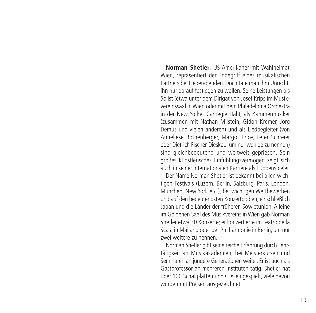**Norman Shetler**, US-Amerikaner mit Wahlheimat Wien, repräsentiert den Inbegriff eines musikalischen Partners bei Liederabenden. Doch täte man ihm Unrecht, ihn nur darauf festlegen zu wollen. Seine Leistungen als Solist (etwa unter dem Dirigat von Josef Krips im Musikvereinssaal in Wien oder mit dem Philadelphia Orchestra in der New Yorker Carnegie Hall), als Kammermusiker (zusammen mit Nathan Milstein, Gidon Kremer, Jörg Demus und vielen anderen) und als Liedbegleiter (von Anneliese Rothenberger, Margot Price, Peter Schreier oder Dietrich Fischer-Dieskau, um nur wenige zu nennen) sind gleichbedeutend und weltweit gepriesen. Sein großes künstlerisches Einfühlungsvermögen zeigt sich auch in seiner internationalen Karriere als Puppenspieler.

Der Name Norman Shetler ist bekannt bei allen wichtigen Festivals (Luzern, Berlin, Salzburg, Paris, London, München, New York etc.), bei wichtigen Wettbewerben und auf den bedeutendsten Konzertpodien, einschließlich Japan und die Länder der früheren Sowjetunion. Alleine im Goldenen Saal des Musikvereins in Wien gab Norman Shetler etwa 30 Konzerte; er konzertierte im Teatro della Scala in Mailand oder der Philharmonie in Berlin, um nur zwei weitere zu nennen.

Norman Shetler gibt seine reiche Erfahrung durch Lehrtätigkeit an Musikakademien, bei Meisterkursen und Seminaren an jüngere Generationen weiter. Er ist auch als Gastprofessor an mehreren Instituten tätig. Shetler hat über 100 Schallplatten und CDs eingespielt, viele davon wurden mit Preisen ausgezeichnet.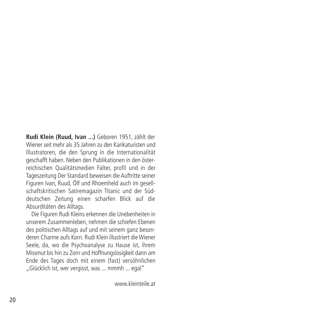**Rudi Klein (Ruud, Ivan ...)** Geboren 1951, zählt der Wiener seit mehr als 35 Jahren zu den Karikaturisten und Illustratoren, die den Sprung in die Internationalität geschafft haben. Neben den Publikationen in den österreichischen Qualitätsmedien Falter, profil und in der Tageszeitung Der Standard beweisen die Auftritte seiner Figuren Ivan, Ruud, Ölf und Rhoemheld auch im gesellschaftskritischen Satiremagazin Titanic und der Süddeutschen Zeitung einen scharfen Blick auf die Absurditäten des Alltags.

Die Figuren Rudi Kleins erkennen die Unebenheiten in unserem Zusammenleben, nehmen die schiefen Ebenen des politischen Alltags auf und mit seinem ganz besonderen Charme aufs Korn. Rudi Klein illustriert die Wiener Seele, da, wo die Psychoanalyse zu Hause ist, ihrem Missmut bis hin zu Zorn und Hoffnungslosigkeit dann am Ende des Tages doch mit einem (fast) versöhnlichen "Glücklich ist, wer vergisst, was ... mmmh ... egal"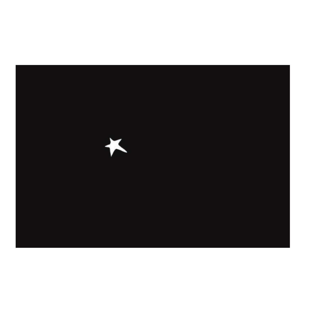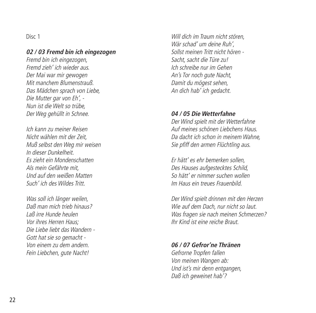#### Disc<sub>1</sub>

#### **02 / 03 Fremd bin ich eingezogen**

Fremd bin ich eingezogen, Fremd zieh' ich wieder aus. Der Mai war mir gewogen Mit manchem Blumenstrauß. Das Mädchen sprach von Liebe, Die Mutter gar von Eh', - Nun ist die Welt so trübe, Der Weg gehüllt in Schnee.

Ich kann zu meiner Reisen Nicht wählen mit der Zeit, Muß selbst den Weg mir weisen In dieser Dunkelheit. Es zieht ein Mondenschatten Als mein Gefährte mit, Und auf den weißen Matten Such' ich des Wildes Tritt.

Was soll ich länger weilen, Daß man mich trieb hinaus? Laß irre Hunde heulen Vor ihres Herren Haus; Die Liebe liebt das Wandern - Gott hat sie so gemacht - Von einem zu dem andern. Fein Liebchen, gute Nacht!

Will dich im Traum nicht stören Wär schad' um deine Ruh' Sollst meinen Tritt nicht hören - Sacht, sacht die Türe zu! Ich schreibe nur im Gehen An's Tor noch gute Nacht, Damit du mögest sehen, An dich hab' ich gedacht.

#### **04 / 05 Die Wetterfahne**

Der Wind spielt mit der Wetterfahne Auf meines schönen Liebchens Haus. Da dacht ich schon in meinem Wahne, Sie pfiff den armen Flüchtling aus.

Er hätt' es ehr bemerken sollen, Des Hauses aufgestecktes Schild, So hätt' er nimmer suchen wollen Im Haus ein treues Frauenbild.

Der Wind spielt drinnen mit den Herzen Wie auf dem Dach, nur nicht so laut. Was fragen sie nach meinen Schmerzen? Ihr Kind ist eine reiche Braut.

#### **06 / 07 Gefror'ne Thränen**

Gefrorne Tropfen fallen Von meinen Wangen ab: Und ist's mir denn entgangen. Daß ich geweinet hab'?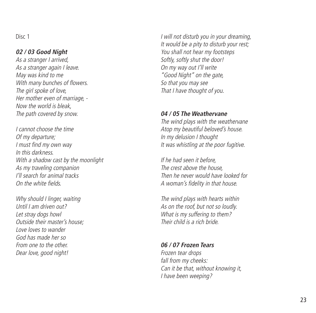Disc<sub>1</sub>

#### **02 / 03 Good Night**

As a stranger I arrived. As a stranger again I leave. May was kind to me With many bunches of flowers. The girl spoke of love, Her mother even of marriage, - Now the world is bleak, The path covered by snow.

I cannot choose the time Of my departure; I must find my own way In this darkness. With a shadow cast by the moonlight As my traveling companion I'll search for animal tracks On the white fields.

Why should I linger, waiting Until I am driven out? Let stray dogs howl Outside their master's house; Love loves to wander God has made her so From one to the other. Dear love, good night!

I will not disturb you in your dreaming, It would be a pity to disturb your rest; You shall not hear my footsteps Softly, softly shut the door! On my way out I'll write "Good Night" on the gate, So that you may see That I have thought of you.

#### **04 / 05 The Weathervane**

The wind plays with the weathervane Atop my beautiful beloved's house. In my delusion I thought It was whistling at the poor fugitive.

If he had seen it before, The crest above the house, Then he never would have looked for A woman's fidelity in that house.

The wind plays with hearts within As on the roof, but not so loudly. What is my suffering to them? Their child is a rich bride.

#### **06 / 07 Frozen Tears**

Frozen tear drops fall from my cheeks: Can it be that, without knowing it, I have been weeping?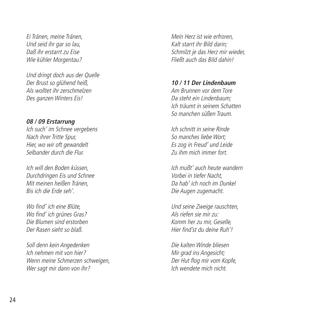Ei Tränen, meine Tränen, Und seid ihr gar so lau, Daß ihr erstarrt zu Eise Wie kühler Morgentau?

Und dringt doch aus der Quelle Der Brust so glühend heiß, Als wolltet ihr zerschmelzen Des ganzen Winters Eis!

#### **08 / 09 Erstarrung**

Ich such' im Schnee vergebens Nach ihrer Tritte Spur, Hier, wo wir oft gewandelt Selbander durch die Flur.

Ich will den Boden küssen, Durchdringen Eis und Schnee Mit meinen heißen Tränen, Bis ich die Erde seh'.

Wo find' ich eine Blüte, Wo find' ich grünes Gras? Die Blumen sind erstorben Der Rasen sieht so blaß.

Soll denn kein Angedenken Ich nehmen mit von hier? Wenn meine Schmerzen schweigen Wer sagt mir dann von ihr?

Mein Herz ist wie erfroren, Kalt starrt ihr Bild darin; Schmilzt je das Herz mir wieder, Fließt auch das Bild dahin!

#### **10 / 11 Der Lindenbaum**

Am Brunnen vor dem Tore Da steht ein Lindenbaum; Ich träumt in seinem Schatten So manchen süßen Traum.

Ich schnitt in seine Rinde So manches liebe Wort; Es zog in Freud' und Leide Zu ihm mich immer fort.

Ich mußt' auch heute wandern Vorbei in tiefer Nacht, Da hab' ich noch im Dunkel Die Augen zugemacht.

Und seine Zweige rauschten, Als riefen sie mir zu: Komm her zu mir, Geselle, Hier find'st du deine Ruh'!

Die kalten Winde bliesen Mir grad ins Angesicht; Der Hut flog mir vom Kopfe, Ich wendete mich nicht.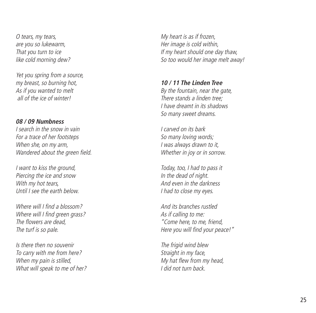O tears, my tears, are you so lukewarm, That you turn to ice like cold morning dew?

Yet you spring from a source, my breast, so burning hot, As if you wanted to melt all of the ice of winter!

#### **08 / 09 Numbness**

I search in the snow in vain For a trace of her footsteps When she, on my arm, Wandered about the green field

I want to kiss the ground, Piercing the ice and snow With my hot tears. Until I see the earth below.

Where will I find a blossom? Where will I find areen arass? The flowers are dead, The turf is so pale.

Is there then no souvenir To carry with me from here? When my pain is stilled What will speak to me of her? My heart is as if frozen, Her image is cold within If my heart should one day thaw, So too would her image melt away!

#### **10 / 11 The Linden Tree**

By the fountain, near the gate, There stands a linden tree; I have dreamt in its shadows So many sweet dreams.

I carved on its bark So many loving words; I was always drawn to it, Whether in joy or in sorrow.

Today, too, I had to pass it In the dead of night. And even in the darkness I had to close my eyes.

And its branches rustled As if calling to me: "Come here, to me, friend, Here you will find your peace!"

The frigid wind blew Straight in my face. My hat flew from my head, I did not turn back.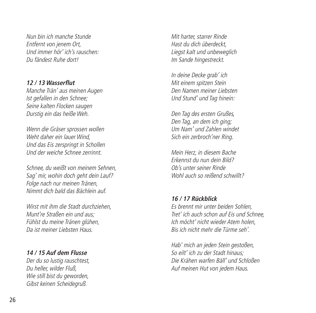Nun bin ich manche Stunde Entfernt von jenem Ort, Und immer hör' ich's rauschen: Du fändest Ruhe dort!

#### **12 / 13 Wasserflut**

Manche Trän' aus meinen Augen Ist gefallen in den Schnee; Seine kalten Flocken saugen Durstig ein das heiße Weh.

Wenn die Gräser sprossen wollen Weht daher ein lauer Wind, Und das Eis zerspringt in Schollen Und der weiche Schnee zerrinnt.

Schnee, du weißt von meinem Sehnen, Sag' mir, wohin doch geht dein Lauf? Folge nach nur meinen Tränen, Nimmt dich bald das Bächlein auf.

Wirst mit ihm die Stadt durchziehen, Munt're Straßen ein und aus; Fühlst du meine Tränen glühen, Da ist meiner Liebsten Haus.

#### **14 / 15 Auf dem Flusse**

Der du so lustig rauschtest, Du heller, wilder Fluß, Wie still bist du geworden, Gibst keinen Scheidegruß.

Mit harter, starrer Rinde Hast du dich überdeckt, Liegst kalt und unbeweglich Im Sande hingestreckt.

In deine Decke grab' ich Mit einem spitzen Stein Den Namen meiner Liebsten Und Stund' und Tag hinein:

Den Tag des ersten Grußes, Den Tag, an dem ich ging; Um Nam' und Zahlen windet Sich ein zerbroch'ner Ring.

Mein Herz, in diesem Bache Erkennst du nun dein Bild? Ob's unter seiner Rinde Wohl auch so reißend schwillt?

#### **16 / 17 Rückblick**

Es brennt mir unter beiden Sohlen, Tret' ich auch schon auf Eis und Schnee, Ich möcht' nicht wieder Atem holen, Bis ich nicht mehr die Türme seh'.

Hab' mich an jeden Stein gestoßen, So eilt' ich zu der Stadt hinaus; Die Krähen warfen Bäll' und Schloßen Auf meinen Hut von jedem Haus.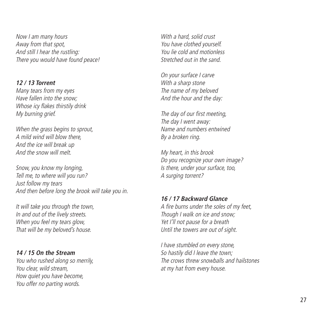Now I am many hours Away from that spot And still I hear the rustling: There you would have found peace!

#### **12 / 13 Torrent**

Many tears from my eyes Have fallen into the snow; Whose icy flakes thirstily drink My hurning grief

When the grass begins to sprout. A mild wind will blow there, And the ice will break up And the snow will melt.

Snow, you know my longing, Tell me, to where will you run? Just follow my tears And then before long the brook will take you in.

It will take you through the town, In and out of the lively streets. When you feel my tears glow That will be my beloved's house.

#### **14 / 15 On the Stream**

You who rushed along so merrily, You clear, wild stream, How quiet you have become, You offer no parting words.

With a hard, solid crust You have clothed yourself. You lie cold and motionless Stretched out in the sand.

On your surface I carve With a sharp stone The name of my beloved And the hour and the day:

The day of our first meeting, The day I went away: Name and numbers entwined By a broken ring.

My heart, in this brook Do you recognize your own image? Is there, under your surface, too, A surging torrent?

#### **16 / 17 Backward Glance**

A fire burns under the soles of my feet, Though I walk on ice and snow; Yet I'll not pause for a breath Until the towers are out of sight.

I have stumbled on every stone, So hastily did I leave the town; The crows threw snowballs and hailstones at my hat from every house.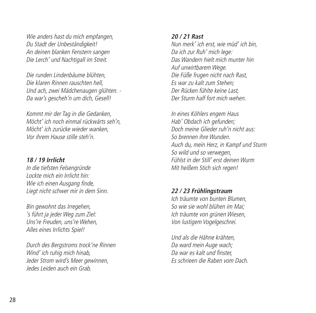Wie anders hast du mich empfangen. Du Stadt der Unbeständigkeit! An deinen blanken Fenstern sangen Die Lerch' und Nachtigall im Streit.

Die runden Lindenbäume blühten, Die klaren Rinnen rauschten hell, Und ach, zwei Mädchenaugen glühten. - Da war's gescheh'n um dich, Gesell!

Kommt mir der Tag in die Gedanken, Möcht' ich noch einmal rückwärts seh'n, Möcht' ich zurücke wieder wanken, Vor ihrem Hause stille steh'n.

#### **18 / 19 Irrlicht**

In die tiefsten Felsengründe Lockte mich ein Irrlicht hin: Wie ich einen Ausgang finde, Liegt nicht schwer mir in dem Sinn.

Bin gewohnt das Irregehen, 's führt ja jeder Weg zum Ziel: Uns're Freuden, uns're Wehen, Alles eines Irrlichts Spiel!

Durch des Bergstroms trock'ne Rinnen Wind' ich ruhig mich hinab. Jeder Strom wird's Meer gewinnen, Jedes Leiden auch ein Grab.

#### **20 / 21 Rast**

Nun merk' ich erst, wie müd' ich bin, Da ich zur Ruh' mich lege: Das Wandern hielt mich munter hin Auf unwirtbarem Wege. Die Füße frugen nicht nach Rast, Es war zu kalt zum Stehen; Der Rücken fühlte keine Last, Der Sturm half fort mich wehen.

In eines Köhlers engem Haus Hab' Obdach ich gefunden; Doch meine Glieder ruh'n nicht aus: So brennen ihre Wunden. Auch du, mein Herz, in Kampf und Sturm So wild und so verwegen Fühlst in der Still' erst deinen Wurm Mit heißem Stich sich regen!

#### **22 / 23 Frühlingstraum**

Ich träumte von bunten Blumen, So wie sie wohl blühen im Mai; Ich träumte von grünen Wiesen, Von lustigem Vogelgeschrei.

Und als die Hähne krähten, Da ward mein Auge wach; Da war es kalt und finster, Es schrieen die Raben vom Dach.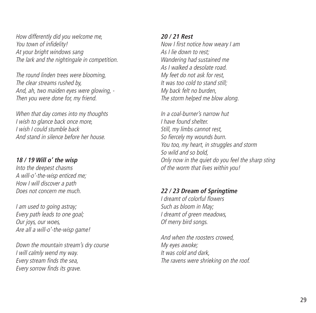How differently did you welcome me, You town of infidelity! At your bright windows sang The lark and the nightingale in competition.

The round linden trees were blooming, The clear streams rushed by, And, ah, two maiden eyes were glowing, - Then you were done for, my friend.

When that day comes into my thoughts I wish to glance back once more, I wish I could stumble back And stand in silence before her house.

#### **18 / 19 Will o' the wisp**

Into the deepest chasms A will-o'-the-wisp enticed me; How I will discover a path Does not concern me much.

I am used to going astray; Every path leads to one goal; Our joys, our woes Are all a will-o'-the-wisp game!

Down the mountain stream's dry course I will calmly wend my way. Every stream finds the sea, Every sorrow finds its grave.

#### **20 / 21 Rest**

Now I first notice how weary I am As I lie down to rest; Wandering had sustained me As I walked a desolate road. My feet do not ask for rest, It was too cold to stand still; My back felt no burden, The storm helped me blow along.

In a coal-burner's narrow hut I have found shelter. Still, my limbs cannot rest, So fiercely my wounds burn. You too, my heart, in struggles and storm So wild and so bold, Only now in the quiet do you feel the sharp sting of the worm that lives within you!

### **22 / 23 Dream of Springtime**

I dreamt of colorful flowers Such as bloom in May; I dreamt of green meadows. Of merry bird sonas.

And when the roosters crowed, My eyes awoke; It was cold and dark, The ravens were shrieking on the roof.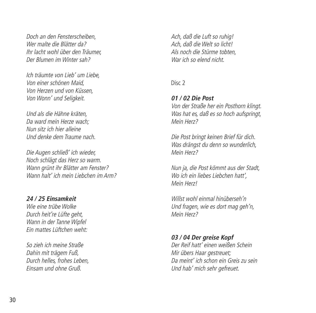Doch an den Fensterscheiben, Wer malte die Blätter da? Ihr lacht wohl über den Träumer, Der Blumen im Winter sah?

Ich träumte von Lieb' um Liebe, Von einer schönen Maid, Von Herzen und von Küssen, Von Wonn' und Seligkeit.

Und als die Hähne kräten, Da ward mein Herze wach; Nun sitz ich hier alleine Und denke dem Traume nach.

Die Augen schließ' ich wieder, Noch schlägt das Herz so warm. Wann grünt ihr Blätter am Fenster? Wann halt' ich mein Liebchen im Arm?

**24 / 25 Einsamkeit** Wie eine trübe Wolke Durch heit're Lüfte geht, Wann in der Tanne Wipfel Ein mattes Lüftchen weht:

So zieh ich meine Straße Dahin mit trägem Fuß, Durch helles, frohes Leben Einsam und ohne Gruß.

Ach, daß die Luft so ruhig! Ach, daß die Welt so licht! Als noch die Stürme tobten, War ich so elend nicht.

Disc<sub>2</sub>

#### **01 / 02 Die Post**

Von der Straße her ein Posthorn klingt. Was hat es, daß es so hoch aufspringt. Mein Herz?

Die Post bringt keinen Brief für dich. Was drängst du denn so wunderlich. Mein Herz?

Nun ja, die Post kömmt aus der Stadt, Wo ich ein liebes Liebchen hatt', Mein Herz!

Willst wohl einmal hinüberseh'n Und fragen, wie es dort mag geh'n, Mein Herz?

#### **03 / 04 Der greise Kopf**

Der Reif hatt' einen weißen Schein Mir übers Haar gestreuet; Da meint' ich schon ein Greis zu sein Und hab' mich sehr gefreuet.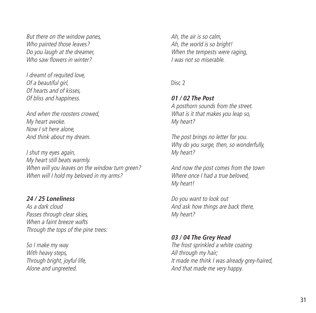But there on the window panes, Who painted those leaves? Do you laugh at the dreamer, Who saw flowers in winter?

I dreamt of requited love.  $Of$  a beautiful girl Of hearts and of kisses, Of bliss and happiness.

And when the roosters crowed, My heart awoke. Now I sit here alone, And think about my dream.

I shut my eyes again, My heart still beats warmly. When will you leaves on the window turn green? When will I hold my beloved in my arms?

# **24 / 25 Loneliness**

As a dark cloud Passes through clear skies, When a faint breeze wafts Through the tops of the pine trees:

So I make my way With heavy steps. Through bright, joyful life, Alone and ungreeted.

Ah, the air is so calm, Ah, the world is so bright! When the tempests were raging. I was not so miserable.

Disc<sub>2</sub>

**01 / 02 The Post** A posthorn sounds from the street. What is it that makes you leap so, My heart?

The post brings no letter for you. Why do you surge, then, so wonderfully, My heart?

And now the post comes from the town Where once I had a true beloved My heart!

Do you want to look out And ask how things are back there, My heart?

#### **03 / 04 The Grey Head**

The frost sprinkled a white coating All through my hair; It made me think I was already grey-haired, And that made me very happy.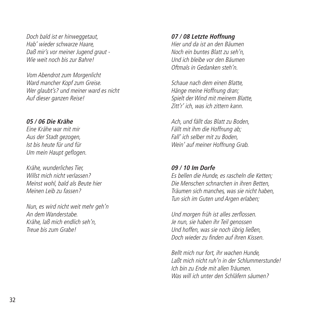Doch bald ist er hinweggetaut. Hab' wieder schwarze Haare, Daß mir's vor meiner Jugend graut - Wie weit noch bis zur Bahre!

Vom Abendrot zum Morgenlicht Ward mancher Konf zum Greise Wer glaubt's? und meiner ward es nicht Auf dieser ganzen Reise!

#### **05 / 06 Die Krähe**

Eine Krähe war mit mir Aus der Stadt gezogen, Ist bis heute für und für Um mein Haupt geflogen.

Krähe, wunderliches Tier, Willst mich nicht verlassen? Meinst wohl, bald als Beute hier Meinen Leib zu fassen?

Nun, es wird nicht weit mehr geh'n An dem Wanderstabe. Krähe, laß mich endlich seh'n, Treue bis zum Grabe!

#### **07 / 08 Letzte Hoffnung**

Hier und da ist an den Bäumen Noch ein buntes Blatt zu seh'n, Und ich bleibe vor den Bäumen Oftmals in Gedanken steh'n.

Schaue nach dem einen Blatte, Hänge meine Hoffnung dran; Spielt der Wind mit meinem Blatte, Zitt'r' ich, was ich zittern kann.

Ach, und fällt das Blatt zu Boden, Fällt mit ihm die Hoffnung ab; Fall' ich selber mit zu Boden, Wein' auf meiner Hoffnung Grab.

#### **09 / 10 Im Dorfe**

Es bellen die Hunde, es rascheln die Ketten; Die Menschen schnarchen in ihren Betten, Träumen sich manches, was sie nicht haben, Tun sich im Guten und Argen erlaben;

Und morgen früh ist alles zerflossen. Je nun, sie haben ihr Teil genossen Und hoffen, was sie noch übrig ließen, Doch wieder zu finden auf ihren Kissen.

Bellt mich nur fort, ihr wachen Hunde, Laßt mich nicht ruh'n in der Schlummerstunde! Ich bin zu Ende mit allen Träumen. Was will ich unter den Schläfern säumen?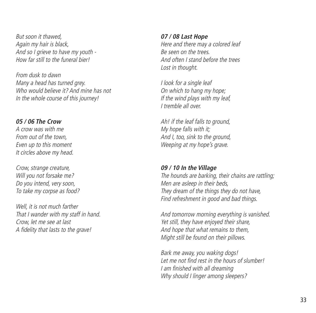But soon it thawed, Again my hair is black, And so I grieve to have my youth -How far still to the funeral bier!

From dusk to dawn Many a head has turned grey. Who would believe it? And mine has not In the whole course of this journey!

#### **05 / 06 The Crow**

A crow was with me From out of the town, Even up to this moment It circles above my head.

Crow, strange creature, Will you not forsake me? Do you intend, very soon, To take my corpse as food?

Well, it is not much farther That I wander with my staff in hand. Crow, let me see at last A fidelity that lasts to the grave!

#### **07 / 08 Last Hope**

Here and there may a colored leaf Be seen on the trees. And often I stand before the trees Lost in thought.

I look for a single leaf On which to hang my hope; If the wind plays with my leaf, I tremble all over.

Ah! if the leaf falls to ground, My hope falls with it; And I, too, sink to the ground, Weeping at my hope's grave.

#### **09 / 10 In the Village**

The hounds are barking, their chains are rattling; Men are asleep in their beds, They dream of the things they do not have, Find refreshment in good and bad things.

And tomorrow morning everything is vanished. Yet still, they have enjoyed their share And hope that what remains to them, Might still be found on their pillows.

Bark me away, you waking dogs! Let me not find rest in the hours of slumber! I am finished with all dreaming Why should I linger among sleepers?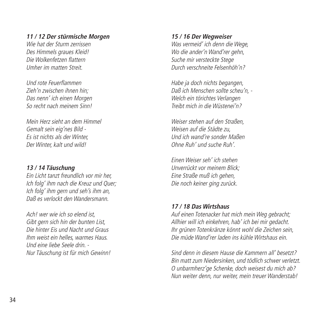#### **11 / 12 Der stürmische Morgen**

Wie hat der Sturm zerrissen Des Himmels graues Kleid! Die Wolkenfetzen flattern Umher im matten Streit.

Und rote Feuerflammen Zieh'n zwischen ihnen hin; Das nenn' ich einen Morgen So recht nach meinem Sinn!

Mein Herz sieht an dem Himmel Gemalt sein eig'nes Bild - Es ist nichts als der Winter, Der Winter, kalt und wild!

#### **13 / 14 Täuschung**

Ein Licht tanzt freundlich vor mir her, Ich folg' ihm nach die Kreuz und Quer; Ich folg' ihm gern und seh's ihm an, Daß es verlockt den Wandersmann.

Ach! wer wie ich so elend ist, Gibt gern sich hin der bunten List Die hinter Eis und Nacht und Graus Ihm weist ein helles, warmes Haus. Und eine liebe Seele drin. - Nur Täuschung ist für mich Gewinn!

#### **15 / 16 Der Wegweiser**

Was vermeid' ich denn die Wege Wo die ander'n Wand'rer gehn, Suche mir versteckte Stege Durch verschneite Felsenhöh'n?

Habe ja doch nichts begangen, Daß ich Menschen sollte scheu'n, - Welch ein törichtes Verlangen Treibt mich in die Wüstenei'n?

Weiser stehen auf den Straßen, Weisen auf die Städte zu, Und ich wand're sonder Maßen Ohne Ruh' und suche Ruh'.

Einen Weiser seh' ich stehen Unverrückt vor meinem Blick; Eine Straße muß ich gehen, Die noch keiner ging zurück.

#### **17 / 18 Das Wirtshaus**

Auf einen Totenacker hat mich mein Weg gebracht; Allhier will ich einkehren, hab' ich bei mir gedacht. Ihr grünen Totenkränze könnt wohl die Zeichen sein, Die müde Wand'rer laden ins kühle Wirtshaus ein.

Sind denn in diesem Hause die Kammern all' besetzt? Bin matt zum Niedersinken, und tödlich schwer verletzt. O unbarmherz'ge Schenke, doch weisest du mich ab? Nun weiter denn, nur weiter, mein treuer Wanderstab!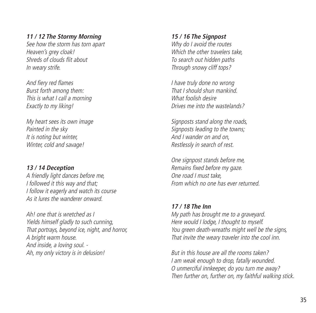#### **11 / 12 The Stormy Morning**

See how the storm has torn apart Heaven's grey cloak! Shreds of clouds flit about In weary strife.

And fiery red flames Burst forth among them: This is what I call a morning Exactly to my liking!

My heart sees its own image Painted in the sky It is noting but winter, Winter, cold and savage!

#### **13 / 14 Deception**

A friendly light dances before me, I followed it this way and that; I follow it eagerly and watch its course As it lures the wanderer onward.

Ah! one that is wretched as I Yields himself gladly to such cunning, That portrays, beyond ice, night, and horror, A bright warm house. And inside, a loving soul. - Ah, my only victory is in delusion!

**15 / 16 The Signpost**

Why do I avoid the routes Which the other travelers take To search out hidden paths Through snowy cliff tops?

I have truly done no wrong That I should shun mankind. What foolish desire Drives me into the wastelands?

Signposts stand along the roads, Signposts leading to the towns; And I wander on and on, Restlessly in search of rest.

One signpost stands before me, Remains fixed before my gaze. One road I must take, From which no one has ever returned.

#### **17 / 18 The Inn**

My path has brought me to a graveyard. Here would I lodge, I thought to myself. You green death-wreaths might well be the signs, That invite the weary traveler into the cool inn.

But in this house are all the rooms taken? I am weak enough to drop, fatally wounded. O unmerciful innkeeper, do you turn me away? Then further on, further on, my faithful walking stick.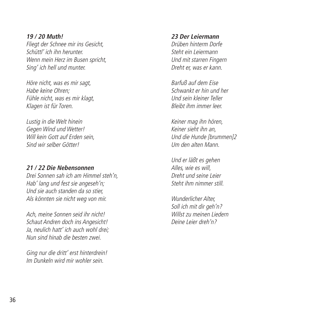#### **19 / 20 Muth!** Fliegt der Schnee mir ins Gesicht, Schüttl' ich ihn herunter. Wenn mein Herz im Busen spricht, Sing' ich hell und munter.

Höre nicht, was es mir sagt, Habe keine Ohren; Fühle nicht, was es mir klagt, Klagen ist für Toren.

Lustig in die Welt hinein Gegen Wind und Wetter! Will kein Gott auf Erden sein. Sind wir selber Götter!

#### **21 / 22 Die Nebensonnen**

Drei Sonnen sah ich am Himmel steh'n, Hab' lang und fest sie angeseh'n; Und sie auch standen da so stier, Als könnten sie nicht weg von mir.

Ach, meine Sonnen seid ihr nicht! Schaut Andren doch ins Angesicht! Ja, neulich hatt' ich auch wohl drei; Nun sind hinab die besten zwei.

Ging nur die dritt' erst hinterdrein! Im Dunkeln wird mir wohler sein.

#### **23 Der Leiermann**

Drüben hinterm Dorfe Steht ein Leiermann Und mit starren Fingern Dreht er, was er kann.

Barfuß auf dem Eise Schwankt er hin und her Und sein kleiner Teller Bleibt ihm immer leer.

Keiner mag ihn hören, Keiner sieht ihn an, Und die Hunde [brummen]2 Um den alten Mann.

Und er läßt es gehen Alles, wie es will, Dreht und seine Leier Steht ihm nimmer still.

Wunderlicher Alter, Soll ich mit dir geh'n? Willst zu meinen Liedern Deine Leier dreh'n?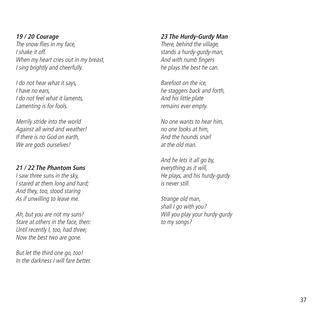#### **19 / 20 Courage**

The snow flies in my face I shake it off. When my heart cries out in my breast. I sing brightly and cheerfully.

I do not hear what it says, I have no ears, I do not feel what it laments, Lamenting is for fools.

Merrily stride into the world Against all wind and weather! If there is no God on earth, We are gods ourselves!

#### **21 / 22 The Phantom Suns**

I saw three suns in the sky, I stared at them long and hard; And they, too, stood staring As if unwilling to leave me.

Ah, but you are not my suns! Stare at others in the face, then: Until recently I, too, had three; Now the best two are gone.

But let the third one go, too! In the darkness I will fare better.

#### **23 The Hurdy-Gurdy Man**

There, behind the village stands a hurdy-gurdy-man, And with numb fingers he plays the best he can.

Barefoot on the ice, he staggers back and forth, And his little plate remains ever empty.

No one wants to hear him, no one looks at him, And the hounds snarl at the old man.

And he lets it all go by, everything as it will. He plays, and his hurdy-gurdy is never still.

Strange old man, shall I go with you? Will you play your hurdy-gurdy to my songs?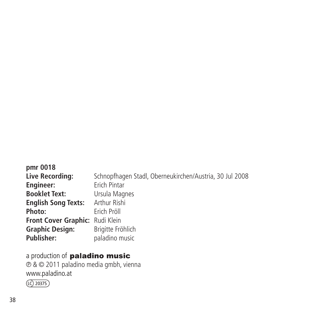| pmr 0018                        |                                                         |
|---------------------------------|---------------------------------------------------------|
| Live Recording:                 | Schnopfhagen Stadl, Oberneukirchen/Austria, 30 Jul 2008 |
| Engineer:                       | Erich Pintar                                            |
| <b>Booklet Text:</b>            | Ursula Magnes                                           |
| <b>English Song Texts:</b>      | Arthur Rishi                                            |
| Photo:                          | Frich Pröll                                             |
| Front Cover Graphic: Rudi Klein |                                                         |
| <b>Graphic Design:</b>          | Brigitte Fröhlich                                       |
| Publisher:                      | paladino music                                          |

a production of & 2011 paladino media gmbh, vienna www.paladino.at

 $(C)$  20375)